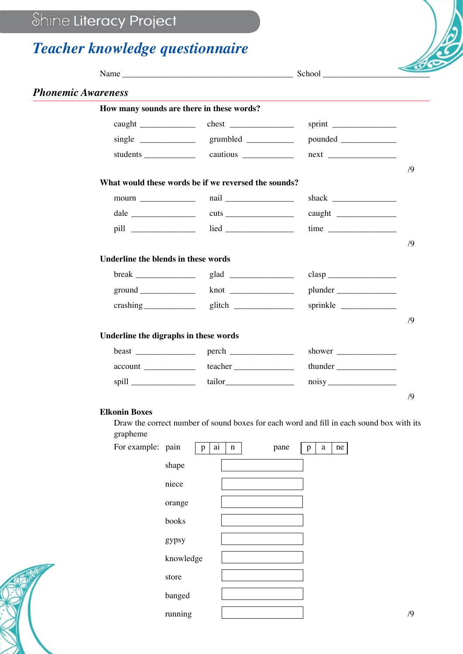## Shine Literacy Project

## *Teacher knowledge questionnaire*

| <b>Phonemic Awareness</b> |  |                                                                                                                                                                  |                                                                                                                                                                                                                                                                                                                           |
|---------------------------|--|------------------------------------------------------------------------------------------------------------------------------------------------------------------|---------------------------------------------------------------------------------------------------------------------------------------------------------------------------------------------------------------------------------------------------------------------------------------------------------------------------|
|                           |  |                                                                                                                                                                  |                                                                                                                                                                                                                                                                                                                           |
|                           |  |                                                                                                                                                                  |                                                                                                                                                                                                                                                                                                                           |
|                           |  |                                                                                                                                                                  |                                                                                                                                                                                                                                                                                                                           |
|                           |  |                                                                                                                                                                  |                                                                                                                                                                                                                                                                                                                           |
|                           |  |                                                                                                                                                                  | /9                                                                                                                                                                                                                                                                                                                        |
|                           |  |                                                                                                                                                                  |                                                                                                                                                                                                                                                                                                                           |
|                           |  |                                                                                                                                                                  |                                                                                                                                                                                                                                                                                                                           |
|                           |  |                                                                                                                                                                  |                                                                                                                                                                                                                                                                                                                           |
|                           |  |                                                                                                                                                                  |                                                                                                                                                                                                                                                                                                                           |
|                           |  |                                                                                                                                                                  | /9                                                                                                                                                                                                                                                                                                                        |
|                           |  |                                                                                                                                                                  |                                                                                                                                                                                                                                                                                                                           |
|                           |  |                                                                                                                                                                  |                                                                                                                                                                                                                                                                                                                           |
|                           |  |                                                                                                                                                                  |                                                                                                                                                                                                                                                                                                                           |
|                           |  |                                                                                                                                                                  |                                                                                                                                                                                                                                                                                                                           |
|                           |  |                                                                                                                                                                  | /9                                                                                                                                                                                                                                                                                                                        |
|                           |  |                                                                                                                                                                  |                                                                                                                                                                                                                                                                                                                           |
|                           |  |                                                                                                                                                                  |                                                                                                                                                                                                                                                                                                                           |
|                           |  |                                                                                                                                                                  |                                                                                                                                                                                                                                                                                                                           |
|                           |  |                                                                                                                                                                  |                                                                                                                                                                                                                                                                                                                           |
|                           |  |                                                                                                                                                                  | /9                                                                                                                                                                                                                                                                                                                        |
| <b>Elkonin Boxes</b>      |  |                                                                                                                                                                  |                                                                                                                                                                                                                                                                                                                           |
| grapheme                  |  |                                                                                                                                                                  |                                                                                                                                                                                                                                                                                                                           |
|                           |  | How many sounds are there in these words?<br>$moun \_$<br><b>Underline the blends in these words</b><br>ground<br>Underline the digraphs in these words<br>spill | Name School School<br>students cautious cautions<br>next<br>What would these words be if we reversed the sounds?<br>time<br>plunder<br>sprinkle<br>shower $\frac{1}{\sqrt{1-\frac{1}{2}}\cdot\frac{1}{\sqrt{1-\frac{1}{2}}}}$<br>Draw the correct number of sound boxes for each word and fill in each sound box with its |

| For example: pain | ai<br>p   | $\mathbf n$ | pane | a<br>p | ne |    |
|-------------------|-----------|-------------|------|--------|----|----|
|                   | shape     |             |      |        |    |    |
|                   | niece     |             |      |        |    |    |
|                   | orange    |             |      |        |    |    |
|                   | books     |             |      |        |    |    |
|                   | gypsy     |             |      |        |    |    |
|                   | knowledge |             |      |        |    |    |
|                   | store     |             |      |        |    |    |
|                   | banged    |             |      |        |    |    |
|                   | running   |             |      |        |    | /9 |